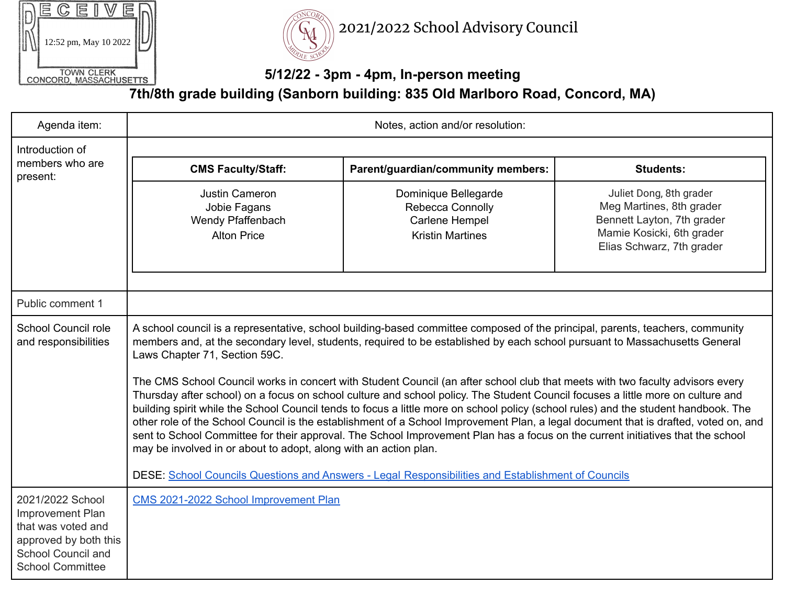|                                             |  |  |  |  | 12:52 pm, May 10 2022 |  |
|---------------------------------------------|--|--|--|--|-----------------------|--|
| <b>TOWN CLERK</b><br>CONCORD, MASSACHUSETTS |  |  |  |  |                       |  |



2021/2022 School Advisory Council

## **5/12/22 - 3pm - 4pm, In-person meeting**

**7th/8th grade building (Sanborn building: 835 Old Marlboro Road, Concord, MA)**

| Agenda item:                                                                                                                                | Notes, action and/or resolution:                                                                                                                                                                                                                                                                                                                                                                                                                                                                                                                                                                                                                                                                                                                                                                                                                                                                                                                                                                                                                                                                                                                            |                                                                                       |                                                                                                                                             |  |  |  |
|---------------------------------------------------------------------------------------------------------------------------------------------|-------------------------------------------------------------------------------------------------------------------------------------------------------------------------------------------------------------------------------------------------------------------------------------------------------------------------------------------------------------------------------------------------------------------------------------------------------------------------------------------------------------------------------------------------------------------------------------------------------------------------------------------------------------------------------------------------------------------------------------------------------------------------------------------------------------------------------------------------------------------------------------------------------------------------------------------------------------------------------------------------------------------------------------------------------------------------------------------------------------------------------------------------------------|---------------------------------------------------------------------------------------|---------------------------------------------------------------------------------------------------------------------------------------------|--|--|--|
| Introduction of<br>members who are<br>present:                                                                                              |                                                                                                                                                                                                                                                                                                                                                                                                                                                                                                                                                                                                                                                                                                                                                                                                                                                                                                                                                                                                                                                                                                                                                             |                                                                                       |                                                                                                                                             |  |  |  |
|                                                                                                                                             | <b>CMS Faculty/Staff:</b>                                                                                                                                                                                                                                                                                                                                                                                                                                                                                                                                                                                                                                                                                                                                                                                                                                                                                                                                                                                                                                                                                                                                   | Parent/guardian/community members:                                                    | <b>Students:</b>                                                                                                                            |  |  |  |
|                                                                                                                                             | Justin Cameron<br>Jobie Fagans<br>Wendy Pfaffenbach<br><b>Alton Price</b>                                                                                                                                                                                                                                                                                                                                                                                                                                                                                                                                                                                                                                                                                                                                                                                                                                                                                                                                                                                                                                                                                   | Dominique Bellegarde<br>Rebecca Connolly<br>Carlene Hempel<br><b>Kristin Martines</b> | Juliet Dong, 8th grader<br>Meg Martines, 8th grader<br>Bennett Layton, 7th grader<br>Mamie Kosicki, 6th grader<br>Elias Schwarz, 7th grader |  |  |  |
| Public comment 1                                                                                                                            |                                                                                                                                                                                                                                                                                                                                                                                                                                                                                                                                                                                                                                                                                                                                                                                                                                                                                                                                                                                                                                                                                                                                                             |                                                                                       |                                                                                                                                             |  |  |  |
| <b>School Council role</b><br>and responsibilities                                                                                          | A school council is a representative, school building-based committee composed of the principal, parents, teachers, community<br>members and, at the secondary level, students, required to be established by each school pursuant to Massachusetts General<br>Laws Chapter 71, Section 59C.<br>The CMS School Council works in concert with Student Council (an after school club that meets with two faculty advisors every<br>Thursday after school) on a focus on school culture and school policy. The Student Council focuses a little more on culture and<br>building spirit while the School Council tends to focus a little more on school policy (school rules) and the student handbook. The<br>other role of the School Council is the establishment of a School Improvement Plan, a legal document that is drafted, voted on, and<br>sent to School Committee for their approval. The School Improvement Plan has a focus on the current initiatives that the school<br>may be involved in or about to adopt, along with an action plan.<br>DESE: School Councils Questions and Answers - Legal Responsibilities and Establishment of Councils |                                                                                       |                                                                                                                                             |  |  |  |
| 2021/2022 School<br><b>Improvement Plan</b><br>that was voted and<br>approved by both this<br>School Council and<br><b>School Committee</b> | CMS 2021-2022 School Improvement Plan                                                                                                                                                                                                                                                                                                                                                                                                                                                                                                                                                                                                                                                                                                                                                                                                                                                                                                                                                                                                                                                                                                                       |                                                                                       |                                                                                                                                             |  |  |  |